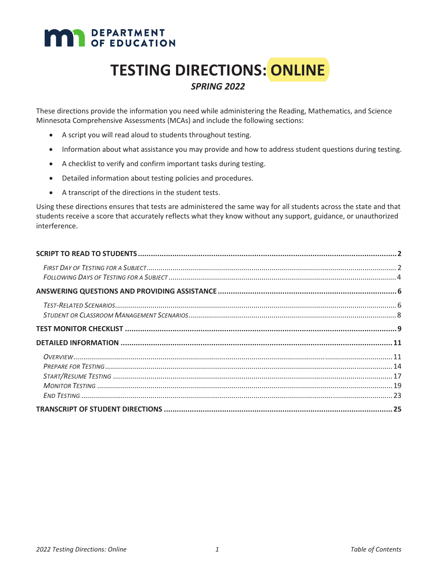# **MAN** DEPARTMENT

# **TESTING DIRECTIONS: ONLINE**

### *SPRING 2022*

These directions provide the information you need while administering the Reading, Mathematics, and Science Minnesota Comprehensive Assessments (MCAs) and include the following sections:

- A script you will read aloud to students throughout testing.
- Information about what assistance you may provide and how to address student questions during testing.
- A checklist to verify and confirm important tasks during testing.
- Detailed information about testing policies and procedures.
- A transcript of the directions in the student tests.

Using these directions ensures that tests are administered the same way for all students across the state and that students receive a score that accurately reflects what they know without any support, guidance, or unauthorized interference.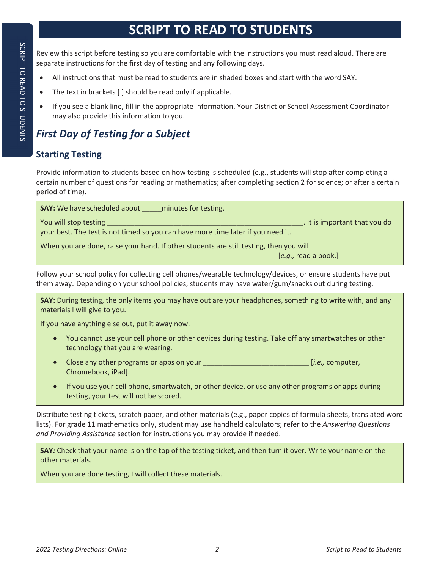# **SCRIPT TO READ TO STUDENTS**

Review this script before testing so you are comfortable with the instructions you must read aloud. There are separate instructions for the first day of testing and any following days.

- All instructions that must be read to students are in shaded boxes and start with the word SAY.
- The text in brackets [ ] should be read only if applicable.
- If you see a blank line, fill in the appropriate information. Your District or School Assessment Coordinator may also provide this information to you.

# *First Day of Testing for a Subject*

# **Starting Testing**

Provide information to students based on how testing is scheduled (e.g., students will stop after completing a certain number of questions for reading or mathematics; after completing section 2 for science; or after a certain period of time).

| <b>SAY:</b> We have scheduled about<br>minutes for testing.                                                                                |  |
|--------------------------------------------------------------------------------------------------------------------------------------------|--|
| . It is important that you do<br>You will stop testing<br>your best. The test is not timed so you can have more time later if you need it. |  |
| When you are done, raise your hand. If other students are still testing, then you will                                                     |  |
| $[e.g.,$ read a book.]                                                                                                                     |  |

Follow your school policy for collecting cell phones/wearable technology/devices, or ensure students have put them away. Depending on your school policies, students may have water/gum/snacks out during testing.

**SAY:** During testing, the only items you may have out are your headphones, something to write with, and any materials I will give to you.

If you have anything else out, put it away now.

- You cannot use your cell phone or other devices during testing. Take off any smartwatches or other technology that you are wearing.
- x Close any other programs or apps on your \_\_\_\_\_\_\_\_\_\_\_\_\_\_\_\_\_\_\_\_\_\_\_\_\_\_\_ [*i.e.,* computer, Chromebook, iPad].
- If you use your cell phone, smartwatch, or other device, or use any other programs or apps during testing, your test will not be scored.

Distribute testing tickets, scratch paper, and other materials (e.g., paper copies of formula sheets, translated word lists). For grade 11 mathematics only, student may use handheld calculators; refer to the *Answering Questions and Providing Assistance* section for instructions you may provide if needed.

**SAY***:* Check that your name is on the top of the testing ticket, and then turn it over. Write your name on the other materials.

When you are done testing, I will collect these materials.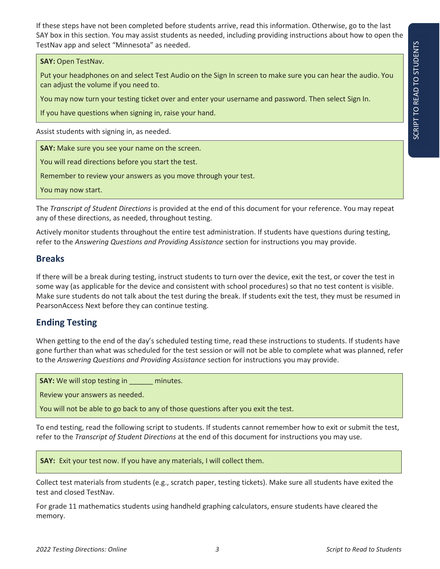If these steps have not been completed before students arrive, read this information. Otherwise, go to the last SAY box in this section. You may assist students as needed, including providing instructions about how to open the TestNav app and select "Minnesota" as needed.

#### **SAY:** Open TestNav.

Put your headphones on and select Test Audio on the Sign In screen to make sure you can hear the audio. You can adjust the volume if you need to.

You may now turn your testing ticket over and enter your username and password. Then select Sign In.

If you have questions when signing in, raise your hand.

Assist students with signing in, as needed.

**SAY:** Make sure you see your name on the screen.

You will read directions before you start the test.

Remember to review your answers as you move through your test.

You may now start.

The *Transcript of Student Directions* is provided at the end of this document for your reference. You may repeat any of these directions, as needed, throughout testing.

Actively monitor students throughout the entire test administration. If students have questions during testing, refer to the *Answering Questions and Providing Assistance* section for instructions you may provide.

#### **Breaks**

If there will be a break during testing, instruct students to turn over the device, exit the test, or cover the test in some way (as applicable for the device and consistent with school procedures) so that no test content is visible. Make sure students do not talk about the test during the break. If students exit the test, they must be resumed in PearsonAccess Next before they can continue testing.

### **Ending Testing**

When getting to the end of the day's scheduled testing time, read these instructions to students. If students have gone further than what was scheduled for the test session or will not be able to complete what was planned, refer to the *Answering Questions and Providing Assistance* section for instructions you may provide.

**SAY:** We will stop testing in \_\_\_\_\_\_ minutes.

Review your answers as needed.

You will not be able to go back to any of those questions after you exit the test.

To end testing, read the following script to students. If students cannot remember how to exit or submit the test, refer to the *Transcript of Student Directions* at the end of this document for instructions you may use.

**SAY:** Exit your test now. If you have any materials, I will collect them.

Collect test materials from students (e.g., scratch paper, testing tickets). Make sure all students have exited the test and closed TestNav.

For grade 11 mathematics students using handheld graphing calculators, ensure students have cleared the memory.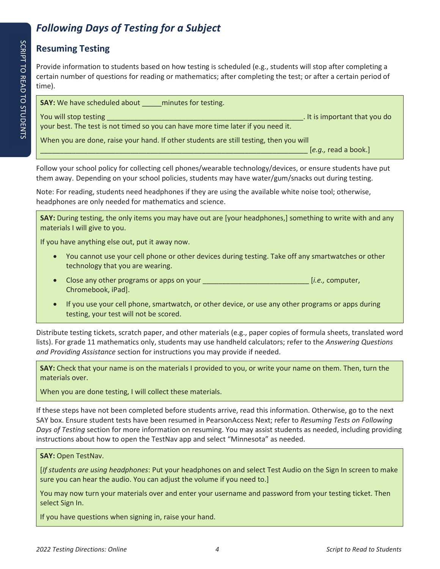# *Following Days of Testing for a Subject*

# **Resuming Testing**

Provide information to students based on how testing is scheduled (e.g., students will stop after completing a certain number of questions for reading or mathematics; after completing the test; or after a certain period of time).

**SAY:** We have scheduled about \_\_\_\_\_\_ minutes for testing.

You will stop testing **Exercise 2018** The stop of the stop of the stop of the stop of the stop of the stop of the stop of the stop of the stop of the stop of the stop of the stop of the stop of the stop of the stop of the

When you are done, raise your hand. If other students are still testing, then you will

your best. The test is not timed so you can have more time later if you need it.

\_\_\_\_\_\_\_\_\_\_\_\_\_\_\_\_\_\_\_\_\_\_\_\_\_\_\_\_\_\_\_\_\_\_\_\_\_\_\_\_\_\_\_\_\_\_\_\_\_\_\_\_\_\_\_\_\_\_\_\_\_\_\_\_\_\_\_\_ [*e.g.,* read a book.]

Follow your school policy for collecting cell phones/wearable technology/devices, or ensure students have put them away. Depending on your school policies, students may have water/gum/snacks out during testing.

Note: For reading, students need headphones if they are using the available white noise tool; otherwise, headphones are only needed for mathematics and science.

**SAY:** During testing, the only items you may have out are [your headphones,] something to write with and any materials I will give to you.

If you have anything else out, put it away now.

- You cannot use your cell phone or other devices during testing. Take off any smartwatches or other technology that you are wearing.
- Close any other programs or apps on your **\_\_\_\_\_\_\_\_\_\_\_\_\_\_\_\_\_\_\_\_\_\_\_\_\_\_\_\_\_\_\_** [*i.e.*, computer, Chromebook, iPad].
- If you use your cell phone, smartwatch, or other device, or use any other programs or apps during testing, your test will not be scored.

Distribute testing tickets, scratch paper, and other materials (e.g., paper copies of formula sheets, translated word lists). For grade 11 mathematics only, students may use handheld calculators; refer to the *Answering Questions and Providing Assistance* section for instructions you may provide if needed.

**SAY:** Check that your name is on the materials I provided to you, or write your name on them. Then, turn the materials over.

When you are done testing, I will collect these materials.

If these steps have not been completed before students arrive, read this information. Otherwise, go to the next SAY box. Ensure student tests have been resumed in PearsonAccess Next; refer to *Resuming Tests on Following Days of Testing* section for more information on resuming. You may assist students as needed, including providing instructions about how to open the TestNav app and select "Minnesota" as needed.

#### **SAY:** Open TestNav.

[*If students are using headphones*: Put your headphones on and select Test Audio on the Sign In screen to make sure you can hear the audio. You can adjust the volume if you need to.]

You may now turn your materials over and enter your username and password from your testing ticket. Then select Sign In.

If you have questions when signing in, raise your hand.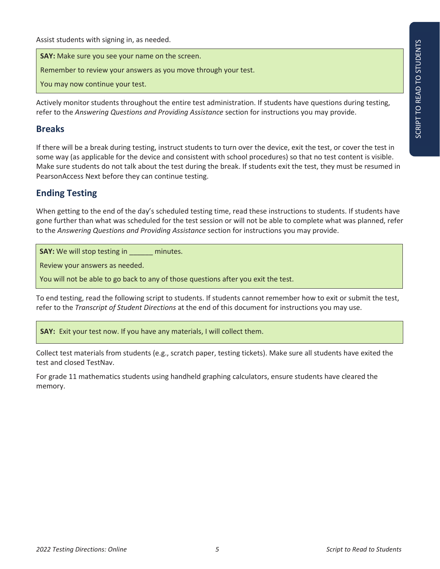Assist students with signing in, as needed.

**SAY:** Make sure you see your name on the screen.

Remember to review your answers as you move through your test.

You may now continue your test.

Actively monitor students throughout the entire test administration. If students have questions during testing, refer to the *Answering Questions and Providing Assistance* section for instructions you may provide.

#### **Breaks**

If there will be a break during testing, instruct students to turn over the device, exit the test, or cover the test in some way (as applicable for the device and consistent with school procedures) so that no test content is visible. Make sure students do not talk about the test during the break. If students exit the test, they must be resumed in PearsonAccess Next before they can continue testing.

#### **Ending Testing**

When getting to the end of the day's scheduled testing time, read these instructions to students. If students have gone further than what was scheduled for the test session or will not be able to complete what was planned, refer to the *Answering Questions and Providing Assistance* section for instructions you may provide.

**SAY:** We will stop testing in \_\_\_\_\_\_ minutes.

Review your answers as needed.

You will not be able to go back to any of those questions after you exit the test.

To end testing, read the following script to students. If students cannot remember how to exit or submit the test, refer to the *Transcript of Student Directions* at the end of this document for instructions you may use.

**SAY:** Exit your test now. If you have any materials, I will collect them.

Collect test materials from students (e.g., scratch paper, testing tickets). Make sure all students have exited the test and closed TestNav.

For grade 11 mathematics students using handheld graphing calculators, ensure students have cleared the memory.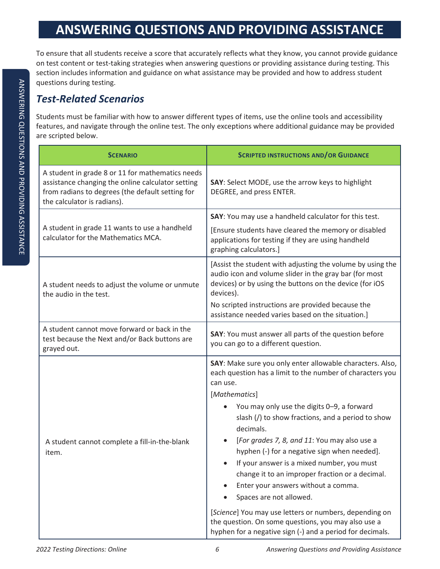# **ANSWERING QUESTIONS AND PROVIDING ASSISTANCE**

To ensure that all students receive a score that accurately reflects what they know, you cannot provide guidance on test content or test-taking strategies when answering questions or providing assistance during testing. This section includes information and guidance on what assistance may be provided and how to address student questions during testing.

# *Test-Related Scenarios*

Students must be familiar with how to answer different types of items, use the online tools and accessibility features, and navigate through the online test. The only exceptions where additional guidance may be provided are scripted below.

| <b>SCENARIO</b>                                                                                                                                                                          | <b>SCRIPTED INSTRUCTIONS AND/OR GUIDANCE</b>                                                                                                                                                                                                                                                                                                                                                                                                                                      |  |
|------------------------------------------------------------------------------------------------------------------------------------------------------------------------------------------|-----------------------------------------------------------------------------------------------------------------------------------------------------------------------------------------------------------------------------------------------------------------------------------------------------------------------------------------------------------------------------------------------------------------------------------------------------------------------------------|--|
| A student in grade 8 or 11 for mathematics needs<br>assistance changing the online calculator setting<br>from radians to degrees (the default setting for<br>the calculator is radians). | SAY: Select MODE, use the arrow keys to highlight<br>DEGREE, and press ENTER.                                                                                                                                                                                                                                                                                                                                                                                                     |  |
| A student in grade 11 wants to use a handheld                                                                                                                                            | SAY: You may use a handheld calculator for this test.                                                                                                                                                                                                                                                                                                                                                                                                                             |  |
| calculator for the Mathematics MCA.                                                                                                                                                      | [Ensure students have cleared the memory or disabled<br>applications for testing if they are using handheld<br>graphing calculators.]                                                                                                                                                                                                                                                                                                                                             |  |
| A student needs to adjust the volume or unmute<br>the audio in the test.                                                                                                                 | [Assist the student with adjusting the volume by using the<br>audio icon and volume slider in the gray bar (for most<br>devices) or by using the buttons on the device (for iOS<br>devices).                                                                                                                                                                                                                                                                                      |  |
|                                                                                                                                                                                          | No scripted instructions are provided because the<br>assistance needed varies based on the situation.]                                                                                                                                                                                                                                                                                                                                                                            |  |
| A student cannot move forward or back in the<br>test because the Next and/or Back buttons are<br>grayed out.                                                                             | SAY: You must answer all parts of the question before<br>you can go to a different question.                                                                                                                                                                                                                                                                                                                                                                                      |  |
|                                                                                                                                                                                          | SAY: Make sure you only enter allowable characters. Also,<br>each question has a limit to the number of characters you<br>can use.                                                                                                                                                                                                                                                                                                                                                |  |
| A student cannot complete a fill-in-the-blank<br>item.                                                                                                                                   | [Mathematics]<br>You may only use the digits 0-9, a forward<br>slash $\left(\frac{1}{2}\right)$ to show fractions, and a period to show<br>decimals.<br>[For grades 7, 8, and 11: You may also use a<br>hyphen (-) for a negative sign when needed].<br>If your answer is a mixed number, you must<br>change it to an improper fraction or a decimal.<br>Enter your answers without a comma.<br>Spaces are not allowed.<br>[Science] You may use letters or numbers, depending on |  |
|                                                                                                                                                                                          | the question. On some questions, you may also use a<br>hyphen for a negative sign (-) and a period for decimals.                                                                                                                                                                                                                                                                                                                                                                  |  |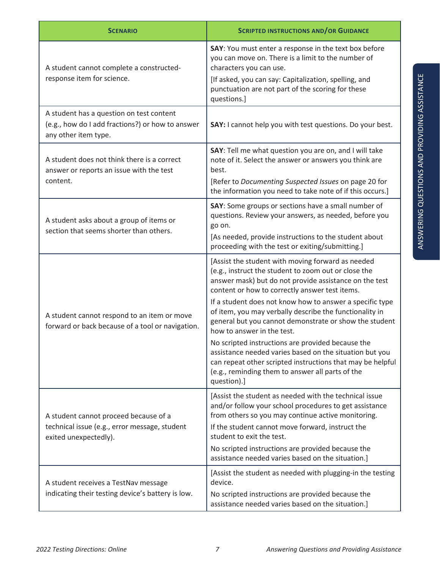| <b>SCENARIO</b>                                                                                                      | <b>SCRIPTED INSTRUCTIONS AND/OR GUIDANCE</b>                                                                                                                                                                                                                                                                                                                                                                                                                                                                                                                                                                                                                                          |
|----------------------------------------------------------------------------------------------------------------------|---------------------------------------------------------------------------------------------------------------------------------------------------------------------------------------------------------------------------------------------------------------------------------------------------------------------------------------------------------------------------------------------------------------------------------------------------------------------------------------------------------------------------------------------------------------------------------------------------------------------------------------------------------------------------------------|
| A student cannot complete a constructed-<br>response item for science.                                               | SAY: You must enter a response in the text box before<br>you can move on. There is a limit to the number of<br>characters you can use.<br>[If asked, you can say: Capitalization, spelling, and<br>punctuation are not part of the scoring for these<br>questions.]                                                                                                                                                                                                                                                                                                                                                                                                                   |
| A student has a question on test content<br>(e.g., how do I add fractions?) or how to answer<br>any other item type. | SAY: I cannot help you with test questions. Do your best.                                                                                                                                                                                                                                                                                                                                                                                                                                                                                                                                                                                                                             |
| A student does not think there is a correct<br>answer or reports an issue with the test<br>content.                  | SAY: Tell me what question you are on, and I will take<br>note of it. Select the answer or answers you think are<br>best.<br>[Refer to Documenting Suspected Issues on page 20 for<br>the information you need to take note of if this occurs.]                                                                                                                                                                                                                                                                                                                                                                                                                                       |
| A student asks about a group of items or<br>section that seems shorter than others.                                  | SAY: Some groups or sections have a small number of<br>questions. Review your answers, as needed, before you<br>go on.<br>[As needed, provide instructions to the student about<br>proceeding with the test or exiting/submitting.]                                                                                                                                                                                                                                                                                                                                                                                                                                                   |
| A student cannot respond to an item or move<br>forward or back because of a tool or navigation.                      | [Assist the student with moving forward as needed<br>(e.g., instruct the student to zoom out or close the<br>answer mask) but do not provide assistance on the test<br>content or how to correctly answer test items.<br>If a student does not know how to answer a specific type<br>of item, you may verbally describe the functionality in<br>general but you cannot demonstrate or show the student<br>how to answer in the test.<br>No scripted instructions are provided because the<br>assistance needed varies based on the situation but you<br>can repeat other scripted instructions that may be helpful<br>(e.g., reminding them to answer all parts of the<br>question).] |
| A student cannot proceed because of a<br>technical issue (e.g., error message, student<br>exited unexpectedly).      | [Assist the student as needed with the technical issue<br>and/or follow your school procedures to get assistance<br>from others so you may continue active monitoring.<br>If the student cannot move forward, instruct the<br>student to exit the test.<br>No scripted instructions are provided because the<br>assistance needed varies based on the situation.]                                                                                                                                                                                                                                                                                                                     |
| A student receives a TestNav message<br>indicating their testing device's battery is low.                            | [Assist the student as needed with plugging-in the testing<br>device.<br>No scripted instructions are provided because the<br>assistance needed varies based on the situation.]                                                                                                                                                                                                                                                                                                                                                                                                                                                                                                       |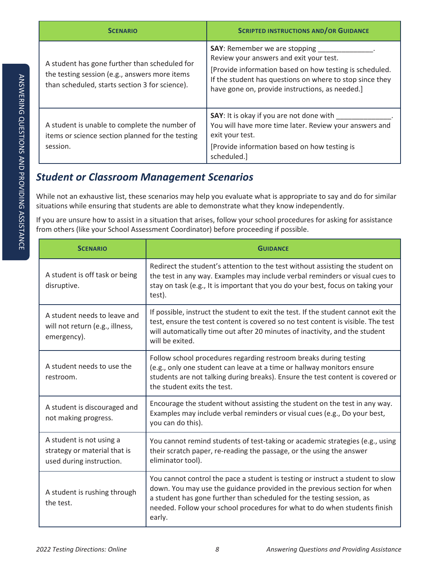| <b>SCENARIO</b>                                                                                                                                  | <b>SCRIPTED INSTRUCTIONS AND/OR GUIDANCE</b>                                                                                                                                                                                                              |
|--------------------------------------------------------------------------------------------------------------------------------------------------|-----------------------------------------------------------------------------------------------------------------------------------------------------------------------------------------------------------------------------------------------------------|
| A student has gone further than scheduled for<br>the testing session (e.g., answers more items<br>than scheduled, starts section 3 for science). | <b>SAY:</b> Remember we are stopping<br>Review your answers and exit your test.<br>[Provide information based on how testing is scheduled.<br>If the student has questions on where to stop since they<br>have gone on, provide instructions, as needed.] |
| A student is unable to complete the number of<br>items or science section planned for the testing<br>session.                                    | <b>SAY:</b> It is okay if you are not done with<br>You will have more time later. Review your answers and<br>exit your test.<br>[Provide information based on how testing is<br>scheduled.]                                                               |

# *Student or Classroom Management Scenarios*

While not an exhaustive list, these scenarios may help you evaluate what is appropriate to say and do for similar situations while ensuring that students are able to demonstrate what they know independently.

If you are unsure how to assist in a situation that arises, follow your school procedures for asking for assistance from others (like your School Assessment Coordinator) before proceeding if possible.

| <b>SCENARIO</b>                                                                      | <b>GUIDANCE</b>                                                                                                                                                                                                                                                                                                            |
|--------------------------------------------------------------------------------------|----------------------------------------------------------------------------------------------------------------------------------------------------------------------------------------------------------------------------------------------------------------------------------------------------------------------------|
| A student is off task or being<br>disruptive.                                        | Redirect the student's attention to the test without assisting the student on<br>the test in any way. Examples may include verbal reminders or visual cues to<br>stay on task (e.g., It is important that you do your best, focus on taking your<br>test).                                                                 |
| A student needs to leave and<br>will not return (e.g., illness,<br>emergency).       | If possible, instruct the student to exit the test. If the student cannot exit the<br>test, ensure the test content is covered so no test content is visible. The test<br>will automatically time out after 20 minutes of inactivity, and the student<br>will be exited.                                                   |
| A student needs to use the<br>restroom.                                              | Follow school procedures regarding restroom breaks during testing<br>(e.g., only one student can leave at a time or hallway monitors ensure<br>students are not talking during breaks). Ensure the test content is covered or<br>the student exits the test.                                                               |
| A student is discouraged and<br>not making progress.                                 | Encourage the student without assisting the student on the test in any way.<br>Examples may include verbal reminders or visual cues (e.g., Do your best,<br>you can do this).                                                                                                                                              |
| A student is not using a<br>strategy or material that is<br>used during instruction. | You cannot remind students of test-taking or academic strategies (e.g., using<br>their scratch paper, re-reading the passage, or the using the answer<br>eliminator tool).                                                                                                                                                 |
| A student is rushing through<br>the test.                                            | You cannot control the pace a student is testing or instruct a student to slow<br>down. You may use the guidance provided in the previous section for when<br>a student has gone further than scheduled for the testing session, as<br>needed. Follow your school procedures for what to do when students finish<br>early. |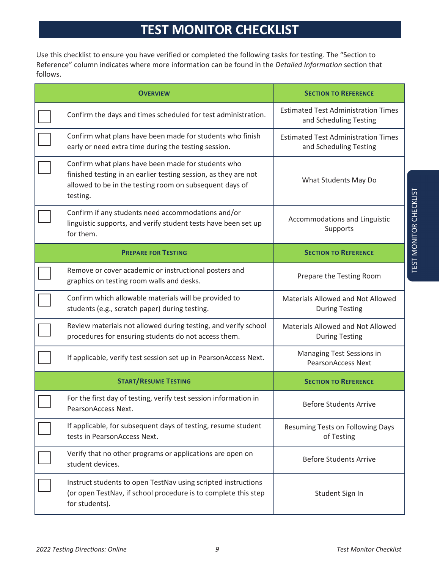# **TEST MONITOR CHECKLIST**

Use this checklist to ensure you have verified or completed the following tasks for testing. The "Section to Reference" column indicates where more information can be found in the *Detailed Information* section that follows.

| <b>OVERVIEW</b>                                                                                                                                                                              | <b>SECTION TO REFERENCE</b>                                          |
|----------------------------------------------------------------------------------------------------------------------------------------------------------------------------------------------|----------------------------------------------------------------------|
| Confirm the days and times scheduled for test administration.                                                                                                                                | <b>Estimated Test Administration Times</b><br>and Scheduling Testing |
| Confirm what plans have been made for students who finish<br>early or need extra time during the testing session.                                                                            | <b>Estimated Test Administration Times</b><br>and Scheduling Testing |
| Confirm what plans have been made for students who<br>finished testing in an earlier testing session, as they are not<br>allowed to be in the testing room on subsequent days of<br>testing. | What Students May Do                                                 |
| Confirm if any students need accommodations and/or<br>linguistic supports, and verify student tests have been set up<br>for them.                                                            | Accommodations and Linguistic<br>Supports                            |
| <b>PREPARE FOR TESTING</b>                                                                                                                                                                   | <b>SECTION TO REFERENCE</b>                                          |
| Remove or cover academic or instructional posters and<br>graphics on testing room walls and desks.                                                                                           | Prepare the Testing Room                                             |
| Confirm which allowable materials will be provided to<br>students (e.g., scratch paper) during testing.                                                                                      | Materials Allowed and Not Allowed<br><b>During Testing</b>           |
| Review materials not allowed during testing, and verify school<br>procedures for ensuring students do not access them.                                                                       | Materials Allowed and Not Allowed<br><b>During Testing</b>           |
| If applicable, verify test session set up in PearsonAccess Next.                                                                                                                             | Managing Test Sessions in<br><b>PearsonAccess Next</b>               |
| <b>START/RESUME TESTING</b>                                                                                                                                                                  | <b>SECTION TO REFERENCE</b>                                          |
| For the first day of testing, verify test session information in<br>PearsonAccess Next.                                                                                                      | <b>Before Students Arrive</b>                                        |
| If applicable, for subsequent days of testing, resume student<br>tests in PearsonAccess Next.                                                                                                | Resuming Tests on Following Days<br>of Testing                       |
| Verify that no other programs or applications are open on<br>student devices.                                                                                                                | <b>Before Students Arrive</b>                                        |
| Instruct students to open TestNav using scripted instructions<br>(or open TestNav, if school procedure is to complete this step<br>for students).                                            | Student Sign In                                                      |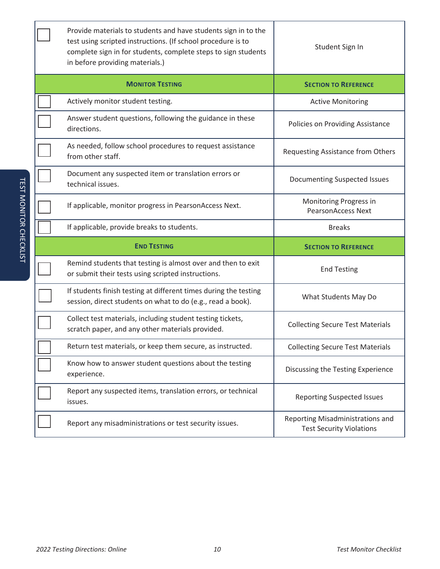| Provide materials to students and have students sign in to the<br>test using scripted instructions. (If school procedure is to<br>complete sign in for students, complete steps to sign students<br>in before providing materials.) | Student Sign In                                     |
|-------------------------------------------------------------------------------------------------------------------------------------------------------------------------------------------------------------------------------------|-----------------------------------------------------|
| <b>MONITOR TESTING</b>                                                                                                                                                                                                              | <b>SECTION TO REFERENCE</b>                         |
| Actively monitor student testing.                                                                                                                                                                                                   | <b>Active Monitoring</b>                            |
| Answer student questions, following the guidance in these<br>directions.                                                                                                                                                            | Policies on Providing Assistance                    |
| As needed, follow school procedures to request assistance<br>from other staff.                                                                                                                                                      | Requesting Assistance from Others                   |
| Document any suspected item or translation errors or<br>technical issues.                                                                                                                                                           | <b>Documenting Suspected Issues</b>                 |
| If applicable, monitor progress in PearsonAccess Next.                                                                                                                                                                              | Monitoring Progress in<br><b>PearsonAccess Next</b> |
| If applicable, provide breaks to students.                                                                                                                                                                                          | <b>Breaks</b>                                       |
|                                                                                                                                                                                                                                     |                                                     |
| <b>END TESTING</b>                                                                                                                                                                                                                  | <b>SECTION TO REFERENCE</b>                         |
| Remind students that testing is almost over and then to exit<br>or submit their tests using scripted instructions.                                                                                                                  | <b>End Testing</b>                                  |
| If students finish testing at different times during the testing<br>session, direct students on what to do (e.g., read a book).                                                                                                     | What Students May Do                                |
| Collect test materials, including student testing tickets,<br>scratch paper, and any other materials provided.                                                                                                                      | <b>Collecting Secure Test Materials</b>             |
| Return test materials, or keep them secure, as instructed.                                                                                                                                                                          | <b>Collecting Secure Test Materials</b>             |
| Know how to answer student questions about the testing<br>experience.                                                                                                                                                               | Discussing the Testing Experience                   |
| Report any suspected items, translation errors, or technical<br>issues.                                                                                                                                                             | <b>Reporting Suspected Issues</b>                   |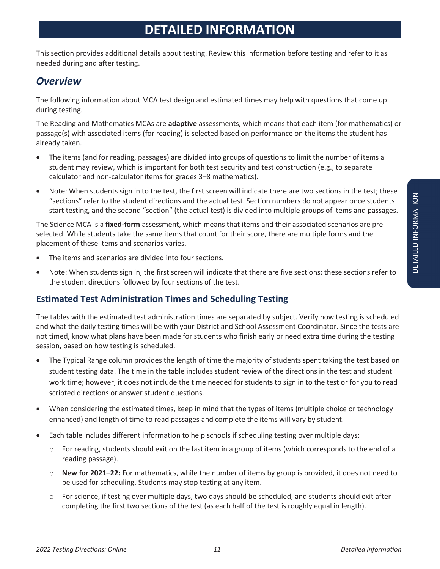# **DETAILED INFORMATION**

This section provides additional details about testing. Review this information before testing and refer to it as needed during and after testing.

# *Overview*

The following information about MCA test design and estimated times may help with questions that come up during testing.

The Reading and Mathematics MCAs are **adaptive** assessments, which means that each item (for mathematics) or passage(s) with associated items (for reading) is selected based on performance on the items the student has already taken.

- The items (and for reading, passages) are divided into groups of questions to limit the number of items a student may review, which is important for both test security and test construction (e.g., to separate calculator and non-calculator items for grades 3–8 mathematics).
- Note: When students sign in to the test, the first screen will indicate there are two sections in the test; these "sections" refer to the student directions and the actual test. Section numbers do not appear once students start testing, and the second "section" (the actual test) is divided into multiple groups of items and passages.

The Science MCA is a **fixed-form** assessment, which means that items and their associated scenarios are preselected. While students take the same items that count for their score, there are multiple forms and the placement of these items and scenarios varies.

- The items and scenarios are divided into four sections.
- Note: When students sign in, the first screen will indicate that there are five sections; these sections refer to the student directions followed by four sections of the test.

# **Estimated Test Administration Times and Scheduling Testing**

The tables with the estimated test administration times are separated by subject. Verify how testing is scheduled and what the daily testing times will be with your District and School Assessment Coordinator. Since the tests are not timed, know what plans have been made for students who finish early or need extra time during the testing session, based on how testing is scheduled.

- The Typical Range column provides the length of time the majority of students spent taking the test based on student testing data. The time in the table includes student review of the directions in the test and student work time; however, it does not include the time needed for students to sign in to the test or for you to read scripted directions or answer student questions.
- x When considering the estimated times, keep in mind that the types of items (multiple choice or technology enhanced) and length of time to read passages and complete the items will vary by student.
- Each table includes different information to help schools if scheduling testing over multiple days:
	- $\circ$  For reading, students should exit on the last item in a group of items (which corresponds to the end of a reading passage).
	- o **New for 2021–22:** For mathematics, while the number of items by group is provided, it does not need to be used for scheduling. Students may stop testing at any item.
	- $\circ$  For science, if testing over multiple days, two days should be scheduled, and students should exit after completing the first two sections of the test (as each half of the test is roughly equal in length).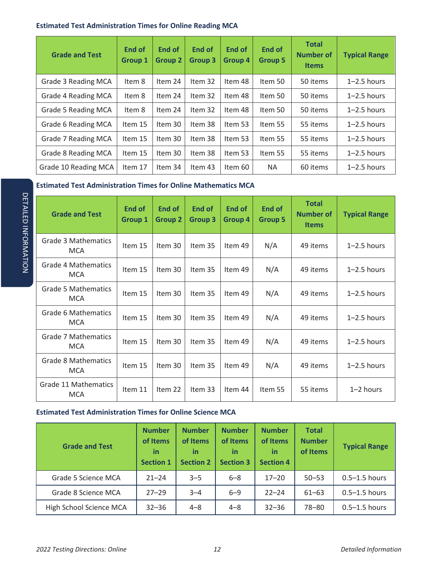#### **Estimated Test Administration Times for Online Reading MCA**

| <b>Grade and Test</b>      | <b>End of</b><br><b>Group 1</b> | End of<br><b>Group 2</b> | End of<br><b>Group 3</b> | <b>End of</b><br><b>Group 4</b> | <b>End of</b><br><b>Group 5</b> | <b>Total</b><br><b>Number of</b><br><b>Items</b> | <b>Typical Range</b> |
|----------------------------|---------------------------------|--------------------------|--------------------------|---------------------------------|---------------------------------|--------------------------------------------------|----------------------|
| Grade 3 Reading MCA        | Item 8                          | Item 24                  | Item 32                  | Item 48                         | Item 50                         | 50 items                                         | $1 - 2.5$ hours      |
| Grade 4 Reading MCA        | Item 8                          | Item 24                  | Item 32                  | Item 48                         | Item 50                         | 50 items                                         | $1-2.5$ hours        |
| Grade 5 Reading MCA        | Item 8                          | Item 24                  | Item 32                  | Item 48                         | Item 50                         | 50 items                                         | $1-2.5$ hours        |
| Grade 6 Reading MCA        | Item 15                         | Item 30                  | Item 38                  | Item 53                         | Item 55                         | 55 items                                         | $1 - 2.5$ hours      |
| Grade 7 Reading MCA        | Item 15                         | Item 30                  | Item 38                  | Item 53                         | Item 55                         | 55 items                                         | $1-2.5$ hours        |
| <b>Grade 8 Reading MCA</b> | Item 15                         | Item 30                  | Item 38                  | Item 53                         | Item 55                         | 55 items                                         | $1-2.5$ hours        |
| Grade 10 Reading MCA       | Item 17                         | Item 34                  | Item 43                  | Item 60                         | <b>NA</b>                       | 60 items                                         | $1 - 2.5$ hours      |

#### **Estimated Test Administration Times for Online Mathematics MCA**

| <b>Grade and Test</b>                    | <b>End of</b><br><b>Group 1</b> | End of<br><b>Group 2</b> | End of<br>Group 3 | End of<br>Group 4 | End of<br><b>Group 5</b> | <b>Total</b><br><b>Number of</b><br><b>Items</b> | <b>Typical Range</b> |
|------------------------------------------|---------------------------------|--------------------------|-------------------|-------------------|--------------------------|--------------------------------------------------|----------------------|
| <b>Grade 3 Mathematics</b><br><b>MCA</b> | Item 15                         | Item 30                  | Item 35           | Item 49           | N/A                      | 49 items                                         | $1 - 2.5$ hours      |
| <b>Grade 4 Mathematics</b><br><b>MCA</b> | Item 15                         | Item 30                  | Item 35           | Item 49           | N/A                      | 49 items                                         | $1 - 2.5$ hours      |
| <b>Grade 5 Mathematics</b><br><b>MCA</b> | Item 15                         | Item 30                  | Item 35           | Item 49           | N/A                      | 49 items                                         | $1 - 2.5$ hours      |
| Grade 6 Mathematics<br><b>MCA</b>        | Item 15                         | Item 30                  | Item 35           | Item 49           | N/A                      | 49 items                                         | $1 - 2.5$ hours      |
| Grade 7 Mathematics<br><b>MCA</b>        | Item 15                         | Item 30                  | Item 35           | Item 49           | N/A                      | 49 items                                         | $1 - 2.5$ hours      |
| <b>Grade 8 Mathematics</b><br><b>MCA</b> | Item 15                         | Item 30                  | Item 35           | Item 49           | N/A                      | 49 items                                         | $1 - 2.5$ hours      |
| Grade 11 Mathematics<br><b>MCA</b>       | Item 11                         | Item 22                  | Item 33           | Item 44           | Item 55                  | 55 items                                         | $1 - 2$ hours        |

#### **Estimated Test Administration Times for Online Science MCA**

| <b>Grade and Test</b>   | <b>Number</b><br>of Items<br><u>in</u><br><b>Section 1</b> | <b>Number</b><br>of Items<br>in<br><b>Section 2</b> | <b>Number</b><br>of Items<br>in<br><b>Section 3</b> | <b>Number</b><br>of Items<br>in<br><b>Section 4</b> | <b>Total</b><br><b>Number</b><br>of Items | <b>Typical Range</b> |
|-------------------------|------------------------------------------------------------|-----------------------------------------------------|-----------------------------------------------------|-----------------------------------------------------|-------------------------------------------|----------------------|
| Grade 5 Science MCA     | $21 - 24$                                                  | $3 - 5$                                             | $6 - 8$                                             | $17 - 20$                                           | $50 - 53$                                 | $0.5 - 1.5$ hours    |
| Grade 8 Science MCA     | $27 - 29$                                                  | $3 - 4$                                             | $6 - 9$                                             | $22 - 24$                                           | $61 - 63$                                 | $0.5 - 1.5$ hours    |
| High School Science MCA | $32 - 36$                                                  | $4 - 8$                                             | $4 - 8$                                             | $32 - 36$                                           | 78-80                                     | $0.5 - 1.5$ hours    |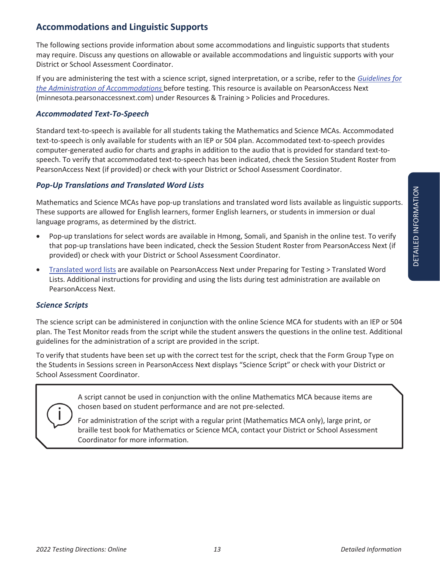### **Accommodations and Linguistic Supports**

The following sections provide information about some accommodations and linguistic supports that students may require. Discuss any questions on allowable or available accommodations and linguistic supports with your District or School Assessment Coordinator.

If you are administering the test with a science script, signed interpretation, or a scribe, refer to the *Guidelines for the Administration of Accommodations* before testing. This resource is available on PearsonAccess Next (minnesota.pearsonaccessnext.com) under Resources & Training > Policies and Procedures.

#### *Accommodated Text-To-Speech*

Standard text-to-speech is available for all students taking the Mathematics and Science MCAs. Accommodated text-to-speech is only available for students with an IEP or 504 plan. Accommodated text-to-speech provides computer-generated audio for charts and graphs in addition to the audio that is provided for standard text-tospeech. To verify that accommodated text-to-speech has been indicated, check the Session Student Roster from PearsonAccess Next (if provided) or check with your District or School Assessment Coordinator.

#### *Pop-Up Translations and Translated Word Lists*

Mathematics and Science MCAs have pop-up translations and translated word lists available as linguistic supports. These supports are allowed for English learners, former English learners, or students in immersion or dual language programs, as determined by the district.

- Pop-up translations for select words are available in Hmong, Somali, and Spanish in the online test. To verify that pop-up translations have been indicated, check the Session Student Roster from PearsonAccess Next (if provided) or check with your District or School Assessment Coordinator.
- x Translated word lists are available on PearsonAccess Next under Preparing for Testing > Translated Word Lists. Additional instructions for providing and using the lists during test administration are available on PearsonAccess Next.

#### *Science Scripts*

The science script can be administered in conjunction with the online Science MCA for students with an IEP or 504 plan. The Test Monitor reads from the script while the student answers the questions in the online test. Additional guidelines for the administration of a script are provided in the script.

To verify that students have been set up with the correct test for the script, check that the Form Group Type on the Students in Sessions screen in PearsonAccess Next displays "Science Script" or check with your District or School Assessment Coordinator.

> A script cannot be used in conjunction with the online Mathematics MCA because items are chosen based on student performance and are not pre-selected.

For administration of the script with a regular print (Mathematics MCA only), large print, or braille test book for Mathematics or Science MCA, contact your District or School Assessment Coordinator for more information.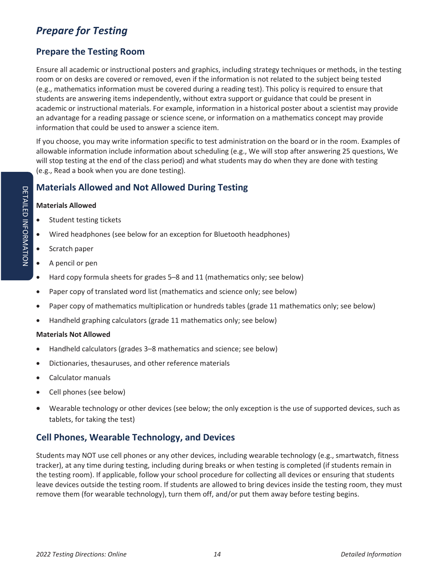# *Prepare for Testing*

# **Prepare the Testing Room**

Ensure all academic or instructional posters and graphics, including strategy techniques or methods, in the testing room or on desks are covered or removed, even if the information is not related to the subject being tested (e.g., mathematics information must be covered during a reading test). This policy is required to ensure that students are answering items independently, without extra support or guidance that could be present in academic or instructional materials. For example, information in a historical poster about a scientist may provide an advantage for a reading passage or science scene, or information on a mathematics concept may provide information that could be used to answer a science item.

If you choose, you may write information specific to test administration on the board or in the room. Examples of allowable information include information about scheduling (e.g., We will stop after answering 25 questions, We will stop testing at the end of the class period) and what students may do when they are done with testing (e.g., Read a book when you are done testing).

# **Materials Allowed and Not Allowed During Testing**

#### **Materials Allowed**

- Student testing tickets
- Wired headphones (see below for an exception for Bluetooth headphones)
- Scratch paper
- A pencil or pen
- Hard copy formula sheets for grades 5–8 and 11 (mathematics only; see below)
- Paper copy of translated word list (mathematics and science only; see below)
- Paper copy of mathematics multiplication or hundreds tables (grade 11 mathematics only; see below)
- Handheld graphing calculators (grade 11 mathematics only; see below)

#### **Materials Not Allowed**

- Handheld calculators (grades 3–8 mathematics and science; see below)
- Dictionaries, thesauruses, and other reference materials
- Calculator manuals
- Cell phones (see below)
- Wearable technology or other devices (see below; the only exception is the use of supported devices, such as tablets, for taking the test)

# **Cell Phones, Wearable Technology, and Devices**

Students may NOT use cell phones or any other devices, including wearable technology (e.g., smartwatch, fitness tracker), at any time during testing, including during breaks or when testing is completed (if students remain in the testing room). If applicable, follow your school procedure for collecting all devices or ensuring that students leave devices outside the testing room. If students are allowed to bring devices inside the testing room, they must remove them (for wearable technology), turn them off, and/or put them away before testing begins.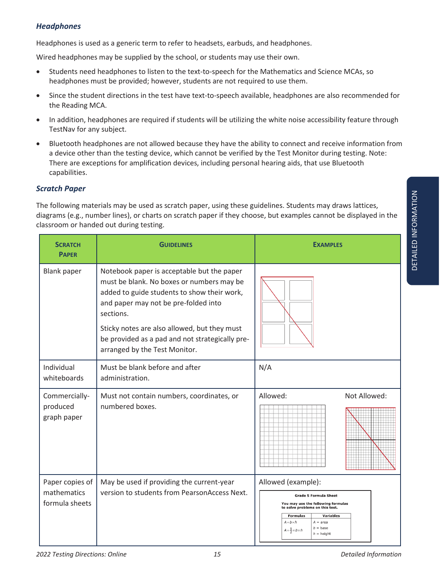#### *Headphones*

Headphones is used as a generic term to refer to headsets, earbuds, and headphones.

Wired headphones may be supplied by the school, or students may use their own.

- Students need headphones to listen to the text-to-speech for the Mathematics and Science MCAs, so headphones must be provided; however, students are not required to use them.
- Since the student directions in the test have text-to-speech available, headphones are also recommended for the Reading MCA.
- In addition, headphones are required if students will be utilizing the white noise accessibility feature through TestNav for any subject.
- Bluetooth headphones are not allowed because they have the ability to connect and receive information from a device other than the testing device, which cannot be verified by the Test Monitor during testing. Note: There are exceptions for amplification devices, including personal hearing aids, that use Bluetooth capabilities.

#### *Scratch Paper*

The following materials may be used as scratch paper, using these guidelines. Students may draws lattices, diagrams (e.g., number lines), or charts on scratch paper if they choose, but examples cannot be displayed in the classroom or handed out during testing.

| <b>SCRATCH</b><br><b>PAPER</b>                   | <b>GUIDELINES</b>                                                                                                                                                                                                                                                                                                               | <b>EXAMPLES</b>                                                                                                                                                                                                                                                              |
|--------------------------------------------------|---------------------------------------------------------------------------------------------------------------------------------------------------------------------------------------------------------------------------------------------------------------------------------------------------------------------------------|------------------------------------------------------------------------------------------------------------------------------------------------------------------------------------------------------------------------------------------------------------------------------|
| <b>Blank paper</b>                               | Notebook paper is acceptable but the paper<br>must be blank. No boxes or numbers may be<br>added to guide students to show their work,<br>and paper may not be pre-folded into<br>sections.<br>Sticky notes are also allowed, but they must<br>be provided as a pad and not strategically pre-<br>arranged by the Test Monitor. |                                                                                                                                                                                                                                                                              |
| Individual<br>whiteboards                        | Must be blank before and after<br>administration.                                                                                                                                                                                                                                                                               | N/A                                                                                                                                                                                                                                                                          |
| Commercially-<br>produced<br>graph paper         | Must not contain numbers, coordinates, or<br>numbered boxes.                                                                                                                                                                                                                                                                    | Allowed:<br>Not Allowed:                                                                                                                                                                                                                                                     |
| Paper copies of<br>mathematics<br>formula sheets | May be used if providing the current-year<br>version to students from PearsonAccess Next.                                                                                                                                                                                                                                       | Allowed (example):<br><b>Grade 5 Formula Sheet</b><br>You may use the following formulas<br>to solve problems on this test.<br><b>Formulas</b><br><b>Variables</b><br>$A = b \times h$<br>$A = area$<br>$b = \text{base}$<br>$A=\frac{1}{2}\times b\times h$<br>$h =$ height |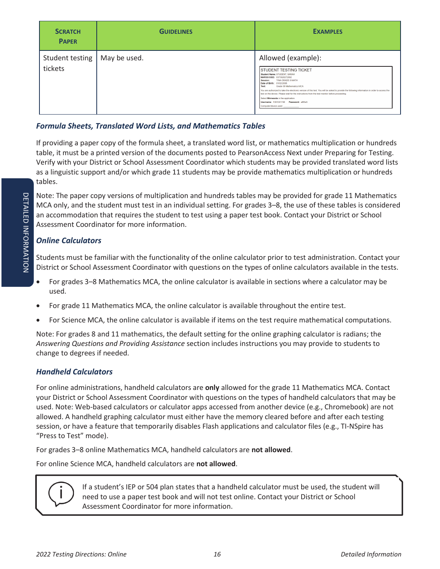| <b>SCRATCH</b><br><b>PAPER</b>            | <b>GUIDELINES</b> | <b>EXAMPLES</b>                                                                                                                                                                                                                                                                                                                                                                                                                                                                                                                                            |
|-------------------------------------------|-------------------|------------------------------------------------------------------------------------------------------------------------------------------------------------------------------------------------------------------------------------------------------------------------------------------------------------------------------------------------------------------------------------------------------------------------------------------------------------------------------------------------------------------------------------------------------------|
| Student testing   May be used.<br>tickets |                   | Allowed (example):<br><b>ISTUDENT TESTING TICKET</b><br>Student Name: STUDENT, SARAH<br>MARSS/SSID: 9373928272892<br><b>TINA GRADE 8 MATH</b><br>Session:<br>Date of Birth: 01/02/2006<br>Grade 08 Mathematics MCA<br>Test<br>You are authorized to take the electronic version of this test. You will be asked to provide the following information in order to access the<br>test on the device. Please wait for the instructions from the test monitor before proceeding.<br>Select Minnesota in the application.<br>Computer/device used: ____________ |

#### *Formula Sheets, Translated Word Lists, and Mathematics Tables*

If providing a paper copy of the formula sheet, a translated word list, or mathematics multiplication or hundreds table, it must be a printed version of the documents posted to PearsonAccess Next under Preparing for Testing. Verify with your District or School Assessment Coordinator which students may be provided translated word lists as a linguistic support and/or which grade 11 students may be provide mathematics multiplication or hundreds tables.

Note: The paper copy versions of multiplication and hundreds tables may be provided for grade 11 Mathematics MCA only, and the student must test in an individual setting. For grades 3–8, the use of these tables is considered an accommodation that requires the student to test using a paper test book. Contact your District or School Assessment Coordinator for more information.

#### *Online Calculators*

Students must be familiar with the functionality of the online calculator prior to test administration. Contact your District or School Assessment Coordinator with questions on the types of online calculators available in the tests.

- For grades 3–8 Mathematics MCA, the online calculator is available in sections where a calculator may be used.
- For grade 11 Mathematics MCA, the online calculator is available throughout the entire test.
- For Science MCA, the online calculator is available if items on the test require mathematical computations.

Note: For grades 8 and 11 mathematics, the default setting for the online graphing calculator is radians; the *Answering Questions and Providing Assistance* section includes instructions you may provide to students to change to degrees if needed.

#### *Handheld Calculators*

For online administrations, handheld calculators are **only** allowed for the grade 11 Mathematics MCA. Contact your District or School Assessment Coordinator with questions on the types of handheld calculators that may be used. Note: Web-based calculators or calculator apps accessed from another device (e.g., Chromebook) are not allowed. A handheld graphing calculator must either have the memory cleared before and after each testing session, or have a feature that temporarily disables Flash applications and calculator files (e.g., TI-NSpire has "Press to Test" mode).

For grades 3–8 online Mathematics MCA, handheld calculators are **not allowed**.

For online Science MCA, handheld calculators are **not allowed**.



If a student's IEP or 504 plan states that a handheld calculator must be used, the student will need to use a paper test book and will not test online. Contact your District or School Assessment Coordinator for more information.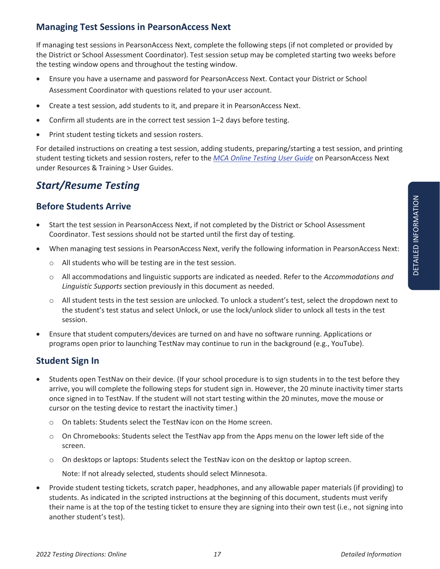If managing test sessions in PearsonAccess Next, complete the following steps (if not completed or provided by the District or School Assessment Coordinator). Test session setup may be completed starting two weeks before the testing window opens and throughout the testing window.

- Ensure you have a username and password for PearsonAccess Next. Contact your District or School Assessment Coordinator with questions related to your user account.
- Create a test session, add students to it, and prepare it in PearsonAccess Next.
- Confirm all students are in the correct test session 1-2 days before testing.
- Print student testing tickets and session rosters.

For detailed instructions on creating a test session, adding students, preparing/starting a test session, and printing student testing tickets and session rosters, refer to the *MCA Online Testing User Guide* on PearsonAccess Next under Resources & Training > User Guides.

# *Start/Resume Testing*

# **Before Students Arrive**

- Start the test session in PearsonAccess Next, if not completed by the District or School Assessment Coordinator. Test sessions should not be started until the first day of testing.
- x When managing test sessions in PearsonAccess Next, verify the following information in PearsonAccess Next:
	- o All students who will be testing are in the test session.
	- o All accommodations and linguistic supports are indicated as needed. Refer to the *Accommodations and Linguistic Supports* section previously in this document as needed.
	- o All student tests in the test session are unlocked. To unlock a student's test, select the dropdown next to the student's test status and select Unlock, or use the lock/unlock slider to unlock all tests in the test session.
- Ensure that student computers/devices are turned on and have no software running. Applications or programs open prior to launching TestNav may continue to run in the background (e.g., YouTube).

# **Student Sign In**

- Students open TestNav on their device. (If your school procedure is to sign students in to the test before they arrive, you will complete the following steps for student sign in. However, the 20 minute inactivity timer starts once signed in to TestNav. If the student will not start testing within the 20 minutes, move the mouse or cursor on the testing device to restart the inactivity timer.)
	- o On tablets: Students select the TestNav icon on the Home screen.
	- $\circ$  On Chromebooks: Students select the TestNav app from the Apps menu on the lower left side of the screen.
	- o On desktops or laptops: Students select the TestNav icon on the desktop or laptop screen.

Note: If not already selected, students should select Minnesota.

Provide student testing tickets, scratch paper, headphones, and any allowable paper materials (if providing) to students. As indicated in the scripted instructions at the beginning of this document, students must verify their name is at the top of the testing ticket to ensure they are signing into their own test (i.e., not signing into another student's test).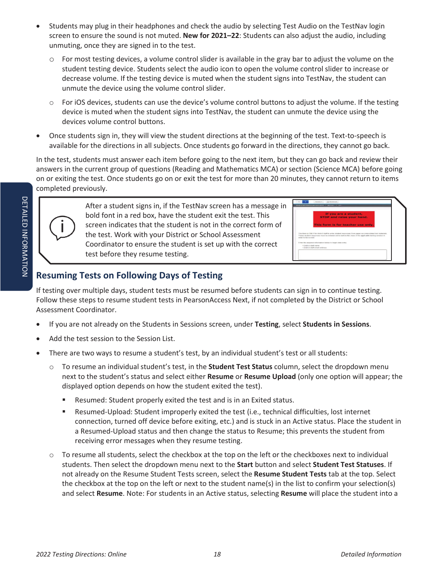- Students may plug in their headphones and check the audio by selecting Test Audio on the TestNav login screen to ensure the sound is not muted. **New for 2021–22**: Students can also adjust the audio, including unmuting, once they are signed in to the test.
	- o For most testing devices, a volume control slider is available in the gray bar to adjust the volume on the student testing device. Students select the audio icon to open the volume control slider to increase or decrease volume. If the testing device is muted when the student signs into TestNav, the student can unmute the device using the volume control slider.
	- $\circ$  For iOS devices, students can use the device's volume control buttons to adjust the volume. If the testing device is muted when the student signs into TestNav, the student can unmute the device using the devices volume control buttons.
- Once students sign in, they will view the student directions at the beginning of the test. Text-to-speech is available for the directions in all subjects. Once students go forward in the directions, they cannot go back.

In the test, students must answer each item before going to the next item, but they can go back and review their answers in the current group of questions (Reading and Mathematics MCA) or section (Science MCA) before going on or exiting the test. Once students go on or exit the test for more than 20 minutes, they cannot return to items completed previously.



After a student signs in, if the TestNav screen has a message in bold font in a red box, have the student exit the test. This screen indicates that the student is not in the correct form of the test. Work with your District or School Assessment Coordinator to ensure the student is set up with the correct test before they resume testing.

|                     | If you are a student,                                                                                                                                                                                         |
|---------------------|---------------------------------------------------------------------------------------------------------------------------------------------------------------------------------------------------------------|
|                     | <b>STOP and raise your hand.</b>                                                                                                                                                                              |
|                     | This form is for teacher use only.                                                                                                                                                                            |
|                     |                                                                                                                                                                                                               |
| order to be scored. | This form is ONLY for district staff to enter student responses from paper accommodated test materials<br>These student responses must be entered online before the close of the applicable testing window is |
|                     | Enter the required information below to begin data only;                                                                                                                                                      |
|                     | + Electric Hady Estate -<br>· District staff erreal address.                                                                                                                                                  |

# **Resuming Tests on Following Days of Testing**

If testing over multiple days, student tests must be resumed before students can sign in to continue testing. Follow these steps to resume student tests in PearsonAccess Next, if not completed by the District or School Assessment Coordinator.

- x If you are not already on the Students in Sessions screen, under **Testing**, select **Students in Sessions**.
- Add the test session to the Session List.
- There are two ways to resume a student's test, by an individual student's test or all students:
	- o To resume an individual student's test, in the **Student Test Status** column, select the dropdown menu next to the student's status and select either **Resume** or **Resume Upload** (only one option will appear; the displayed option depends on how the student exited the test).
		- Resumed: Student properly exited the test and is in an Exited status.
		- Resumed-Upload: Student improperly exited the test (i.e., technical difficulties, lost internet connection, turned off device before exiting, etc.) and is stuck in an Active status. Place the student in a Resumed-Upload status and then change the status to Resume; this prevents the student from receiving error messages when they resume testing.
	- o To resume all students, select the checkbox at the top on the left or the checkboxes next to individual students. Then select the dropdown menu next to the **Start** button and select **Student Test Statuses**. If not already on the Resume Student Tests screen, select the **Resume Student Tests** tab at the top. Select the checkbox at the top on the left or next to the student name(s) in the list to confirm your selection(s) and select **Resume**. Note: For students in an Active status, selecting **Resume** will place the student into a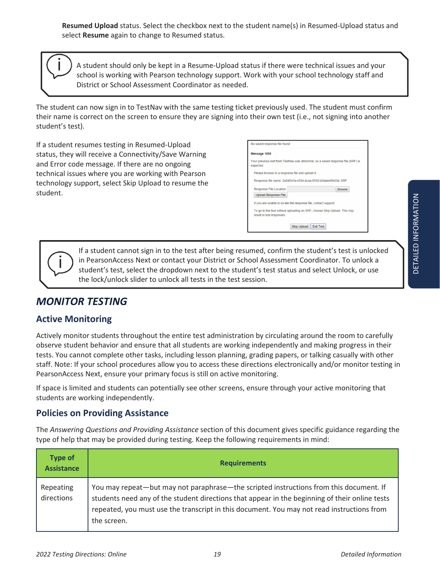**Resumed Upload** status. Select the checkbox next to the student name(s) in Resumed-Upload status and select **Resume** again to change to Resumed status.

A student should only be kept in a Resume-Upload status if there were technical issues and your school is working with Pearson technology support. Work with your school technology staff and District or School Assessment Coordinator as needed.

The student can now sign in to TestNav with the same testing ticket previously used. The student must confirm their name is correct on the screen to ensure they are signing into their own test (i.e., not signing into another student's test).

If a student resumes testing in Resumed-Upload status, they will receive a Connectivity/Save Warning and Error code message. If there are no ongoing technical issues where you are working with Pearson technology support, select Skip Upload to resume the student.

| Message 1005                                    |                                                                                 |
|-------------------------------------------------|---------------------------------------------------------------------------------|
| expected.                                       | Your previous exit from TestNav was abnormal, so a saved response file (SRF) is |
| Please browse to a response file and upload it. |                                                                                 |
|                                                 | Response file name: 2a945d1a-e55d-4caa-8530-43daee88e54c.SRF                    |
| Response File Location:                         | <b>Browse</b>                                                                   |
| <b>Upload Response File</b>                     |                                                                                 |
|                                                 |                                                                                 |

If a student cannot sign in to the test after being resumed, confirm the student's test is unlocked in PearsonAccess Next or contact your District or School Assessment Coordinator. To unlock a student's test, select the dropdown next to the student's test status and select Unlock, or use the lock/unlock slider to unlock all tests in the test session.

# *MONITOR TESTING*

# **Active Monitoring**

Actively monitor students throughout the entire test administration by circulating around the room to carefully observe student behavior and ensure that all students are working independently and making progress in their tests. You cannot complete other tasks, including lesson planning, grading papers, or talking casually with other staff. Note: If your school procedures allow you to access these directions electronically and/or monitor testing in PearsonAccess Next, ensure your primary focus is still on active monitoring.

If space is limited and students can potentially see other screens, ensure through your active monitoring that students are working independently.

# **Policies on Providing Assistance**

The *Answering Questions and Providing Assistance* section of this document gives specific guidance regarding the type of help that may be provided during testing. Keep the following requirements in mind:

| <b>Type of</b><br><b>Assistance</b> | <b>Requirements</b>                                                                                                                                                                                                                                                                                   |
|-------------------------------------|-------------------------------------------------------------------------------------------------------------------------------------------------------------------------------------------------------------------------------------------------------------------------------------------------------|
| Repeating<br>directions             | You may repeat-but may not paraphrase-the scripted instructions from this document. If<br>students need any of the student directions that appear in the beginning of their online tests<br>repeated, you must use the transcript in this document. You may not read instructions from<br>the screen. |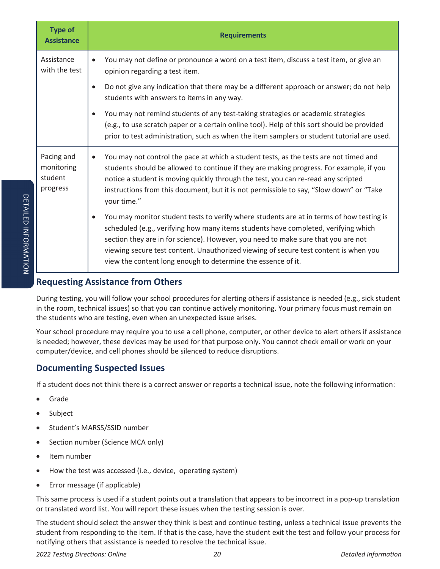| <b>Type of</b><br><b>Assistance</b>             | <b>Requirements</b>                                                                                                                                                                                                                                                                                                                                                                                                                      |  |
|-------------------------------------------------|------------------------------------------------------------------------------------------------------------------------------------------------------------------------------------------------------------------------------------------------------------------------------------------------------------------------------------------------------------------------------------------------------------------------------------------|--|
| Assistance<br>with the test                     | You may not define or pronounce a word on a test item, discuss a test item, or give an<br>$\bullet$<br>opinion regarding a test item.                                                                                                                                                                                                                                                                                                    |  |
|                                                 | Do not give any indication that there may be a different approach or answer; do not help<br>$\bullet$<br>students with answers to items in any way.                                                                                                                                                                                                                                                                                      |  |
|                                                 | You may not remind students of any test-taking strategies or academic strategies<br>$\bullet$<br>(e.g., to use scratch paper or a certain online tool). Help of this sort should be provided<br>prior to test administration, such as when the item samplers or student tutorial are used.                                                                                                                                               |  |
| Pacing and<br>monitoring<br>student<br>progress | You may not control the pace at which a student tests, as the tests are not timed and<br>$\bullet$<br>students should be allowed to continue if they are making progress. For example, if you<br>notice a student is moving quickly through the test, you can re-read any scripted<br>instructions from this document, but it is not permissible to say, "Slow down" or "Take<br>your time."                                             |  |
|                                                 | You may monitor student tests to verify where students are at in terms of how testing is<br>$\bullet$<br>scheduled (e.g., verifying how many items students have completed, verifying which<br>section they are in for science). However, you need to make sure that you are not<br>viewing secure test content. Unauthorized viewing of secure test content is when you<br>view the content long enough to determine the essence of it. |  |

### **Requesting Assistance from Others**

During testing, you will follow your school procedures for alerting others if assistance is needed (e.g., sick student in the room, technical issues) so that you can continue actively monitoring. Your primary focus must remain on the students who are testing, even when an unexpected issue arises.

Your school procedure may require you to use a cell phone, computer, or other device to alert others if assistance is needed; however, these devices may be used for that purpose only. You cannot check email or work on your computer/device, and cell phones should be silenced to reduce disruptions.

### **Documenting Suspected Issues**

If a student does not think there is a correct answer or reports a technical issue, note the following information:

- Grade
- Subject
- Student's MARSS/SSID number
- Section number (Science MCA only)
- Item number
- How the test was accessed (i.e., device, operating system)
- Error message (if applicable)

This same process is used if a student points out a translation that appears to be incorrect in a pop-up translation or translated word list. You will report these issues when the testing session is over.

The student should select the answer they think is best and continue testing, unless a technical issue prevents the student from responding to the item. If that is the case, have the student exit the test and follow your process for notifying others that assistance is needed to resolve the technical issue.

*2022 Testing Directions: Online 20 Detailed Information*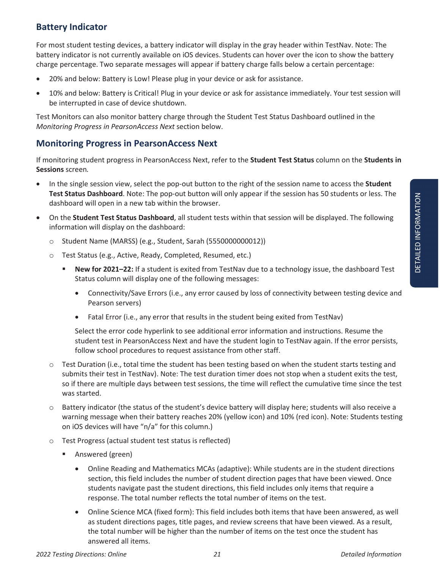# **Battery Indicator**

For most student testing devices, a battery indicator will display in the gray header within TestNav. Note: The battery indicator is not currently available on iOS devices. Students can hover over the icon to show the battery charge percentage. Two separate messages will appear if battery charge falls below a certain percentage:

- 20% and below: Battery is Low! Please plug in your device or ask for assistance.
- 10% and below: Battery is Critical! Plug in your device or ask for assistance immediately. Your test session will be interrupted in case of device shutdown.

Test Monitors can also monitor battery charge through the Student Test Status Dashboard outlined in the *Monitoring Progress in PearsonAccess Next* section below.

### **Monitoring Progress in PearsonAccess Next**

If monitoring student progress in PearsonAccess Next, refer to the **Student Test Status** column on the **Students in Sessions** screen*.* 

- x In the single session view, select the pop-out button to the right of the session name to access the **Student Test Status Dashboard**. Note: The pop-out button will only appear if the session has 50 students or less. The dashboard will open in a new tab within the browser.
- x On the **Student Test Status Dashboard**, all student tests within that session will be displayed. The following information will display on the dashboard:
	- o Student Name (MARSS) (e.g., Student, Sarah (5550000000012))
	- o Test Status (e.g., Active, Ready, Completed, Resumed, etc.)
		- **New for 2021–22:** If a student is exited from TestNav due to a technology issue, the dashboard Test Status column will display one of the following messages:
			- Connectivity/Save Errors (i.e., any error caused by loss of connectivity between testing device and Pearson servers)
			- Fatal Error (i.e., any error that results in the student being exited from TestNav)

Select the error code hyperlink to see additional error information and instructions. Resume the student test in PearsonAccess Next and have the student login to TestNav again. If the error persists, follow school procedures to request assistance from other staff.

- o Test Duration (i.e., total time the student has been testing based on when the student starts testing and submits their test in TestNav). Note: The test duration timer does not stop when a student exits the test, so if there are multiple days between test sessions, the time will reflect the cumulative time since the test was started.
- o Battery indicator (the status of the student's device battery will display here; students will also receive a warning message when their battery reaches 20% (yellow icon) and 10% (red icon). Note: Students testing on iOS devices will have "n/a" for this column.)
- o Test Progress (actual student test status is reflected)
	- Answered (green)
		- Online Reading and Mathematics MCAs (adaptive): While students are in the student directions section, this field includes the number of student direction pages that have been viewed. Once students navigate past the student directions, this field includes only items that require a response. The total number reflects the total number of items on the test.
		- Online Science MCA (fixed form): This field includes both items that have been answered, as well as student directions pages, title pages, and review screens that have been viewed. As a result, the total number will be higher than the number of items on the test once the student has answered all items.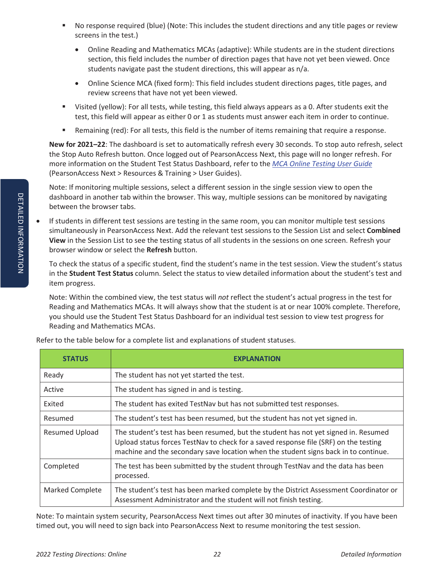- No response required (blue) (Note: This includes the student directions and any title pages or review screens in the test.)
	- Online Reading and Mathematics MCAs (adaptive): While students are in the student directions section, this field includes the number of direction pages that have not yet been viewed. Once students navigate past the student directions, this will appear as n/a.
	- Online Science MCA (fixed form): This field includes student directions pages, title pages, and review screens that have not yet been viewed.
- Visited (yellow): For all tests, while testing, this field always appears as a 0. After students exit the test, this field will appear as either 0 or 1 as students must answer each item in order to continue.
- Remaining (red): For all tests, this field is the number of items remaining that require a response.

**New for 2021–22**: The dashboard is set to automatically refresh every 30 seconds. To stop auto refresh, select the Stop Auto Refresh button. Once logged out of PearsonAccess Next, this page will no longer refresh. For more information on the Student Test Status Dashboard, refer to the *MCA Online Testing User Guide* (PearsonAccess Next > Resources & Training > User Guides).

Note: If monitoring multiple sessions, select a different session in the single session view to open the dashboard in another tab within the browser. This way, multiple sessions can be monitored by navigating between the browser tabs.

If students in different test sessions are testing in the same room, you can monitor multiple test sessions simultaneously in PearsonAccess Next. Add the relevant test sessions to the Session List and select **Combined View** in the Session List to see the testing status of all students in the sessions on one screen. Refresh your browser window or select the **Refresh** button.

To check the status of a specific student, find the student's name in the test session. View the student's status in the **Student Test Status** column. Select the status to view detailed information about the student's test and item progress.

Note: Within the combined view, the test status will *not* reflect the student's actual progress in the test for Reading and Mathematics MCAs. It will always show that the student is at or near 100% complete. Therefore, you should use the Student Test Status Dashboard for an individual test session to view test progress for Reading and Mathematics MCAs.

| <b>STATUS</b>          | <b>EXPLANATION</b>                                                                                                                                                                                                                                                 |
|------------------------|--------------------------------------------------------------------------------------------------------------------------------------------------------------------------------------------------------------------------------------------------------------------|
| Ready                  | The student has not yet started the test.                                                                                                                                                                                                                          |
| Active                 | The student has signed in and is testing.                                                                                                                                                                                                                          |
| Exited                 | The student has exited TestNav but has not submitted test responses.                                                                                                                                                                                               |
| Resumed                | The student's test has been resumed, but the student has not yet signed in.                                                                                                                                                                                        |
| <b>Resumed Upload</b>  | The student's test has been resumed, but the student has not yet signed in. Resumed<br>Upload status forces TestNav to check for a saved response file (SRF) on the testing<br>machine and the secondary save location when the student signs back in to continue. |
| Completed              | The test has been submitted by the student through TestNav and the data has been<br>processed.                                                                                                                                                                     |
| <b>Marked Complete</b> | The student's test has been marked complete by the District Assessment Coordinator or<br>Assessment Administrator and the student will not finish testing.                                                                                                         |

Refer to the table below for a complete list and explanations of student statuses.

Note: To maintain system security, PearsonAccess Next times out after 30 minutes of inactivity. If you have been timed out, you will need to sign back into PearsonAccess Next to resume monitoring the test session.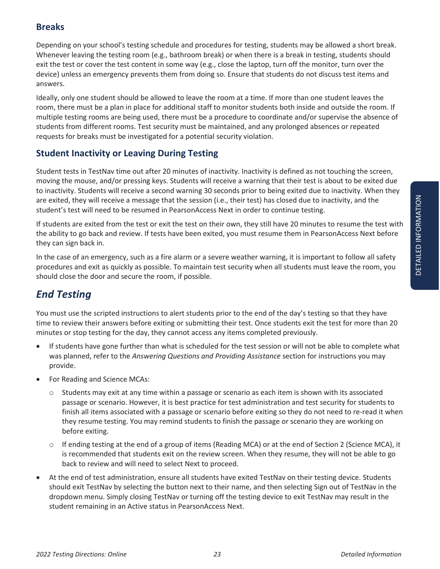### **Breaks**

Depending on your school's testing schedule and procedures for testing, students may be allowed a short break. Whenever leaving the testing room (e.g., bathroom break) or when there is a break in testing, students should exit the test or cover the test content in some way (e.g., close the laptop, turn off the monitor, turn over the device) unless an emergency prevents them from doing so. Ensure that students do not discuss test items and answers.

Ideally, only one student should be allowed to leave the room at a time. If more than one student leaves the room, there must be a plan in place for additional staff to monitor students both inside and outside the room. If multiple testing rooms are being used, there must be a procedure to coordinate and/or supervise the absence of students from different rooms. Test security must be maintained, and any prolonged absences or repeated requests for breaks must be investigated for a potential security violation.

### **Student Inactivity or Leaving During Testing**

Student tests in TestNav time out after 20 minutes of inactivity. Inactivity is defined as not touching the screen, moving the mouse, and/or pressing keys. Students will receive a warning that their test is about to be exited due to inactivity. Students will receive a second warning 30 seconds prior to being exited due to inactivity. When they are exited, they will receive a message that the session (i.e., their test) has closed due to inactivity, and the student's test will need to be resumed in PearsonAccess Next in order to continue testing.

If students are exited from the test or exit the test on their own, they still have 20 minutes to resume the test with the ability to go back and review. If tests have been exited, you must resume them in PearsonAccess Next before they can sign back in.

In the case of an emergency, such as a fire alarm or a severe weather warning, it is important to follow all safety procedures and exit as quickly as possible. To maintain test security when all students must leave the room, you should close the door and secure the room, if possible.

# *End Testing*

You must use the scripted instructions to alert students prior to the end of the day's testing so that they have time to review their answers before exiting or submitting their test. Once students exit the test for more than 20 minutes or stop testing for the day, they cannot access any items completed previously.

- If students have gone further than what is scheduled for the test session or will not be able to complete what was planned, refer to the *Answering Questions and Providing Assistance* section for instructions you may provide.
- For Reading and Science MCAs:
	- $\circ$  Students may exit at any time within a passage or scenario as each item is shown with its associated passage or scenario. However, it is best practice for test administration and test security for students to finish all items associated with a passage or scenario before exiting so they do not need to re-read it when they resume testing. You may remind students to finish the passage or scenario they are working on before exiting.
	- o If ending testing at the end of a group of items (Reading MCA) or at the end of Section 2 (Science MCA), it is recommended that students exit on the review screen. When they resume, they will not be able to go back to review and will need to select Next to proceed.
- At the end of test administration, ensure all students have exited TestNav on their testing device. Students should exit TestNav by selecting the button next to their name, and then selecting Sign out of TestNav in the dropdown menu. Simply closing TestNav or turning off the testing device to exit TestNav may result in the student remaining in an Active status in PearsonAccess Next.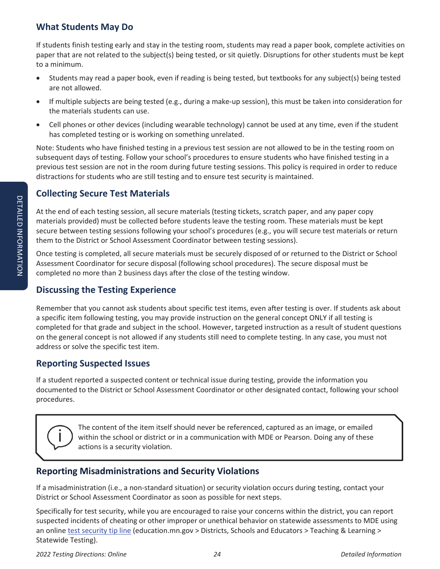# **What Students May Do**

If students finish testing early and stay in the testing room, students may read a paper book, complete activities on paper that are not related to the subject(s) being tested, or sit quietly. Disruptions for other students must be kept to a minimum.

- Students may read a paper book, even if reading is being tested, but textbooks for any subject(s) being tested are not allowed.
- If multiple subjects are being tested (e.g., during a make-up session), this must be taken into consideration for the materials students can use.
- Cell phones or other devices (including wearable technology) cannot be used at any time, even if the student has completed testing or is working on something unrelated.

Note: Students who have finished testing in a previous test session are not allowed to be in the testing room on subsequent days of testing. Follow your school's procedures to ensure students who have finished testing in a previous test session are not in the room during future testing sessions. This policy is required in order to reduce distractions for students who are still testing and to ensure test security is maintained.

# **Collecting Secure Test Materials**

At the end of each testing session, all secure materials (testing tickets, scratch paper, and any paper copy materials provided) must be collected before students leave the testing room. These materials must be kept secure between testing sessions following your school's procedures (e.g., you will secure test materials or return them to the District or School Assessment Coordinator between testing sessions).

Once testing is completed, all secure materials must be securely disposed of or returned to the District or School Assessment Coordinator for secure disposal (following school procedures). The secure disposal must be completed no more than 2 business days after the close of the testing window.

# **Discussing the Testing Experience**

Remember that you cannot ask students about specific test items, even after testing is over. If students ask about a specific item following testing, you may provide instruction on the general concept ONLY if all testing is completed for that grade and subject in the school. However, targeted instruction as a result of student questions on the general concept is not allowed if any students still need to complete testing. In any case, you must not address or solve the specific test item.

# **Reporting Suspected Issues**

If a student reported a suspected content or technical issue during testing, provide the information you documented to the District or School Assessment Coordinator or other designated contact, following your school procedures.

The content of the item itself should never be referenced, captured as an image, or emailed within the school or district or in a communication with MDE or Pearson. Doing any of these actions is a security violation.

# **Reporting Misadministrations and Security Violations**

If a misadministration (i.e., a non-standard situation) or security violation occurs during testing, contact your District or School Assessment Coordinator as soon as possible for next steps.

Specifically for test security, while you are encouraged to raise your concerns within the district, you can report suspected incidents of cheating or other improper or unethical behavior on statewide assessments to MDE using an online test security tip line (education.mn.gov > Districts, Schools and Educators > Teaching & Learning > Statewide Testing).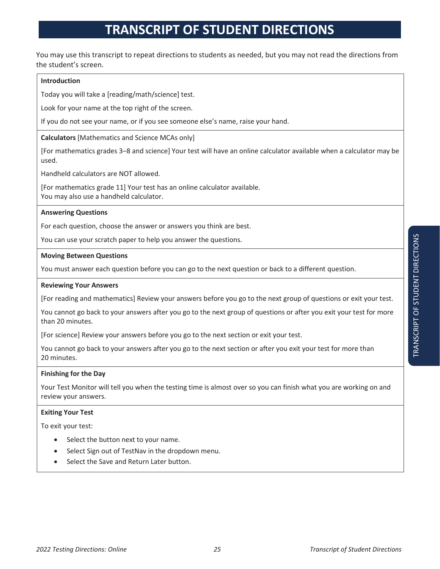# **TRANSCRIPT OF STUDENT DIRECTIONS**

You may use this transcript to repeat directions to students as needed, but you may not read the directions from the student's screen.

#### **Introduction**

Today you will take a [reading/math/science] test.

Look for your name at the top right of the screen.

If you do not see your name, or if you see someone else's name, raise your hand.

**Calculators** [Mathematics and Science MCAs only]

[For mathematics grades 3–8 and science] Your test will have an online calculator available when a calculator may be used.

Handheld calculators are NOT allowed.

[For mathematics grade 11] Your test has an online calculator available. You may also use a handheld calculator.

#### **Answering Questions**

For each question, choose the answer or answers you think are best.

You can use your scratch paper to help you answer the questions.

#### **Moving Between Questions**

You must answer each question before you can go to the next question or back to a different question.

#### **Reviewing Your Answers**

[For reading and mathematics] Review your answers before you go to the next group of questions or exit your test.

You cannot go back to your answers after you go to the next group of questions or after you exit your test for more than 20 minutes.

[For science] Review your answers before you go to the next section or exit your test.

You cannot go back to your answers after you go to the next section or after you exit your test for more than 20 minutes.

#### **Finishing for the Day**

Your Test Monitor will tell you when the testing time is almost over so you can finish what you are working on and review your answers.

#### **Exiting Your Test**

To exit your test:

- Select the button next to your name.
- Select Sign out of TestNav in the dropdown menu.
- Select the Save and Return Later button.